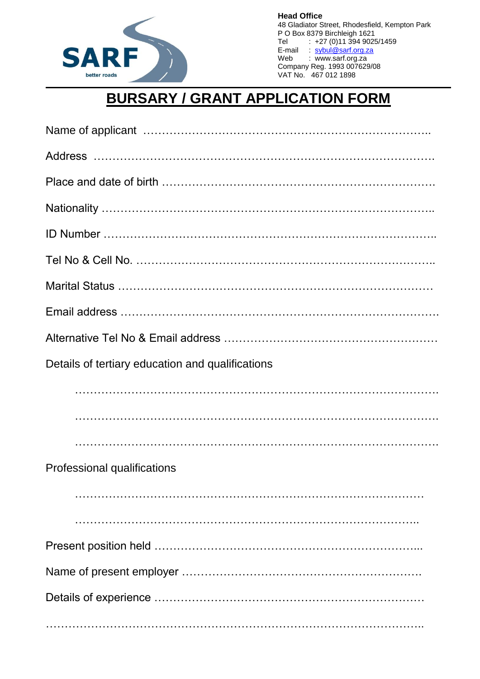

**Head Office** 48 Gladiator Street, Rhodesfield, Kempton Park P O Box 8379 Birchleigh 1621 Tel : +27 (0)11 394 9025/1459<br>E-mail : sybul@sarf.org.za E-mail : <u>[sybul@sarf.org.za](mailto:sybul@sarf.org.za)</u> Web : [www.sarf.org.za](http://www.sarf.org.za/) Company Reg. 1993 007629/08 VAT No. 467 012 1898

## **BURSARY / GRANT APPLICATION FORM**

| Details of tertiary education and qualifications |
|--------------------------------------------------|
|                                                  |
|                                                  |
|                                                  |
| Professional qualifications                      |
|                                                  |
|                                                  |
|                                                  |
|                                                  |
|                                                  |
|                                                  |